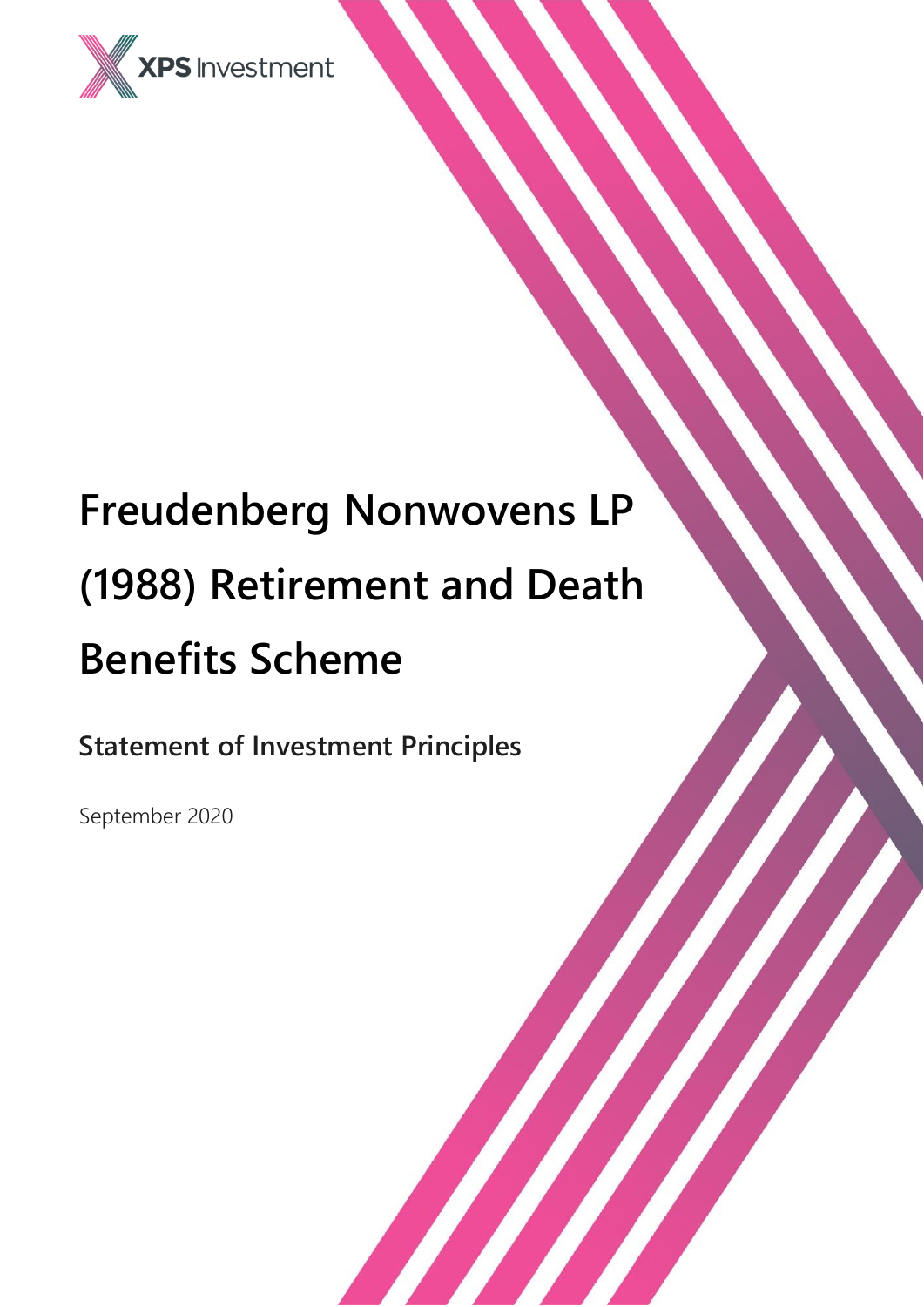

# **Freudenberg Nonwovens LP (1988) Retirement and Death Benefits Scheme**

**Statement of Investment Principles**

September 2020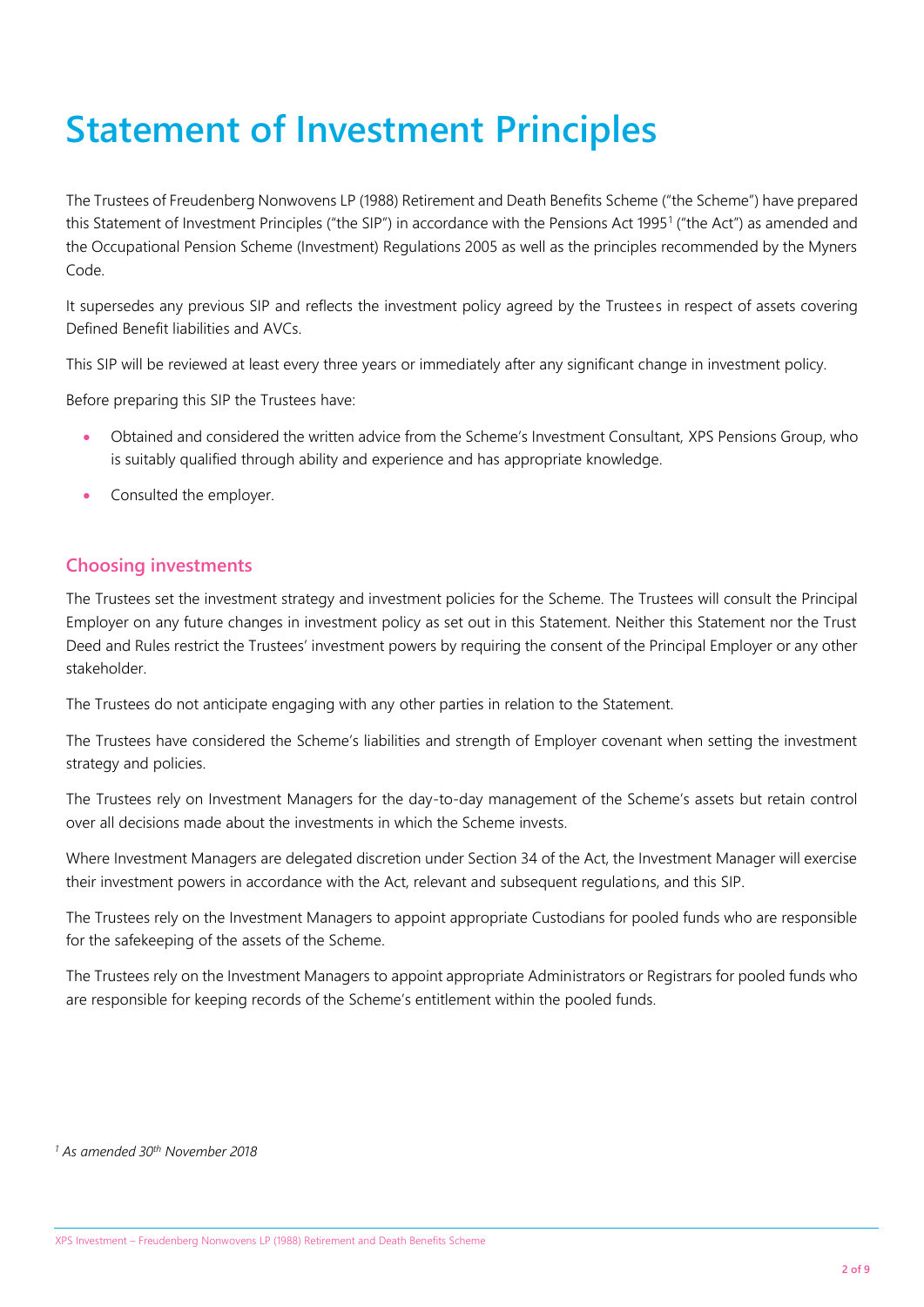# **Statement of Investment Principles**

The Trustees of Freudenberg Nonwovens LP (1988) Retirement and Death Benefits Scheme ("the Scheme") have prepared this Statement of Investment Principles ("the SIP") in accordance with the Pensions Act 1995<sup>1</sup> ("the Act") as amended and the Occupational Pension Scheme (Investment) Regulations 2005 as well as the principles recommended by the Myners Code.

It supersedes any previous SIP and reflects the investment policy agreed by the Trustees in respect of assets covering Defined Benefit liabilities and AVCs.

This SIP will be reviewed at least every three years or immediately after any significant change in investment policy.

Before preparing this SIP the Trustees have:

- Obtained and considered the written advice from the Scheme's Investment Consultant, XPS Pensions Group, who is suitably qualified through ability and experience and has appropriate knowledge.
- Consulted the employer.

#### **Choosing investments**

The Trustees set the investment strategy and investment policies for the Scheme. The Trustees will consult the Principal Employer on any future changes in investment policy as set out in this Statement. Neither this Statement nor the Trust Deed and Rules restrict the Trustees' investment powers by requiring the consent of the Principal Employer or any other stakeholder.

The Trustees do not anticipate engaging with any other parties in relation to the Statement.

The Trustees have considered the Scheme's liabilities and strength of Employer covenant when setting the investment strategy and policies.

The Trustees rely on Investment Managers for the day-to-day management of the Scheme's assets but retain control over all decisions made about the investments in which the Scheme invests.

Where Investment Managers are delegated discretion under Section 34 of the Act, the Investment Manager will exercise their investment powers in accordance with the Act, relevant and subsequent regulations, and this SIP.

The Trustees rely on the Investment Managers to appoint appropriate Custodians for pooled funds who are responsible for the safekeeping of the assets of the Scheme.

The Trustees rely on the Investment Managers to appoint appropriate Administrators or Registrars for pooled funds who are responsible for keeping records of the Scheme's entitlement within the pooled funds.

*<sup>1</sup> As amended 30th November 2018*

XPS Investment – Freudenberg Nonwovens LP (1988) Retirement and Death Benefits Scheme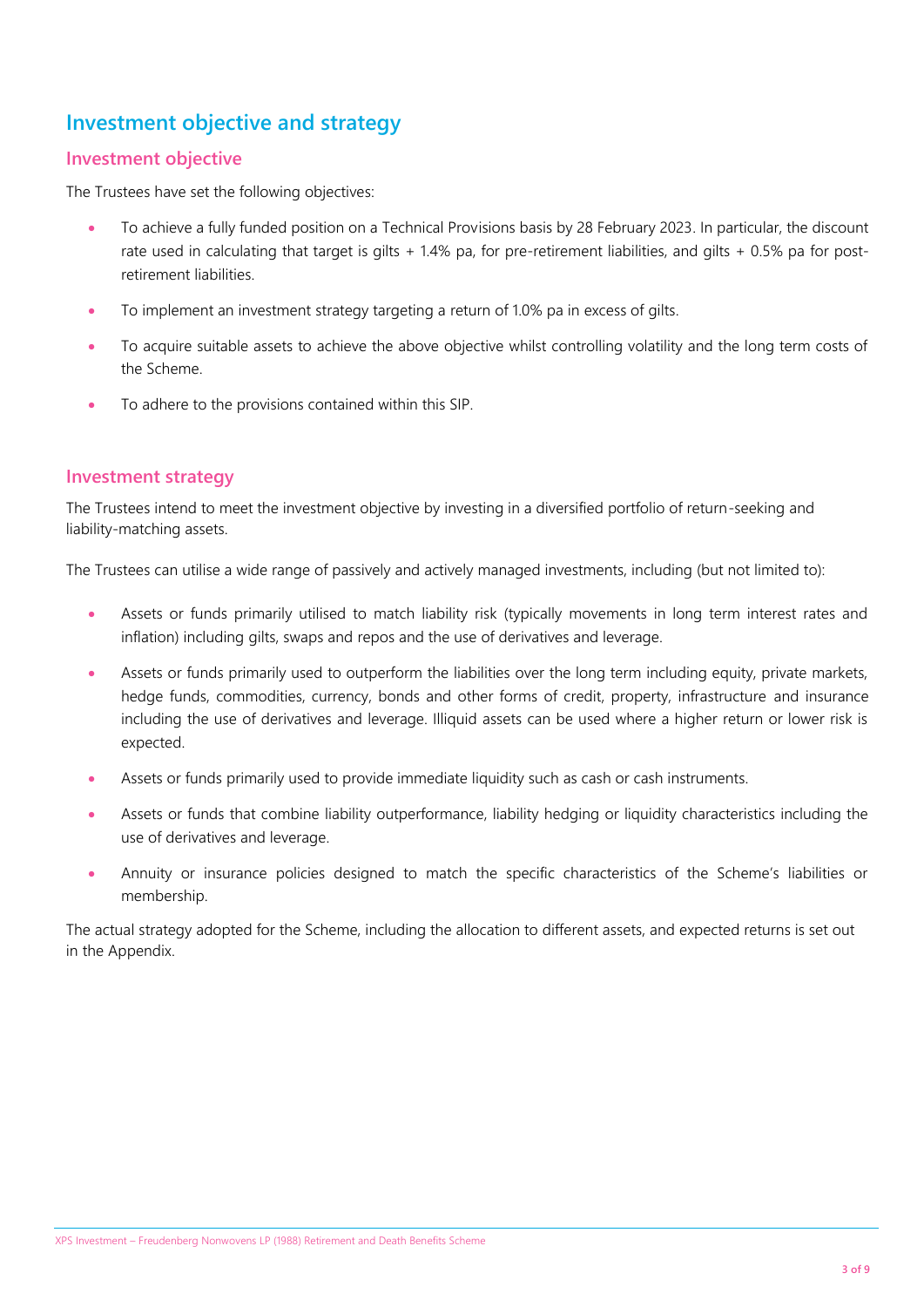# **Investment objective and strategy**

#### **Investment objective**

The Trustees have set the following objectives:

- To achieve a fully funded position on a Technical Provisions basis by 28 February 2023. In particular, the discount rate used in calculating that target is gilts + 1.4% pa, for pre-retirement liabilities, and gilts + 0.5% pa for postretirement liabilities.
- To implement an investment strategy targeting a return of 1.0% pa in excess of gilts.
- To acquire suitable assets to achieve the above objective whilst controlling volatility and the long term costs of the Scheme.
- To adhere to the provisions contained within this SIP.

#### **Investment strategy**

The Trustees intend to meet the investment objective by investing in a diversified portfolio of return-seeking and liability-matching assets.

The Trustees can utilise a wide range of passively and actively managed investments, including (but not limited to):

- Assets or funds primarily utilised to match liability risk (typically movements in long term interest rates and inflation) including gilts, swaps and repos and the use of derivatives and leverage.
- Assets or funds primarily used to outperform the liabilities over the long term including equity, private markets, hedge funds, commodities, currency, bonds and other forms of credit, property, infrastructure and insurance including the use of derivatives and leverage. Illiquid assets can be used where a higher return or lower risk is expected.
- Assets or funds primarily used to provide immediate liquidity such as cash or cash instruments.
- Assets or funds that combine liability outperformance, liability hedging or liquidity characteristics including the use of derivatives and leverage.
- Annuity or insurance policies designed to match the specific characteristics of the Scheme's liabilities or membership.

The actual strategy adopted for the Scheme, including the allocation to different assets, and expected returns is set out in the Appendix.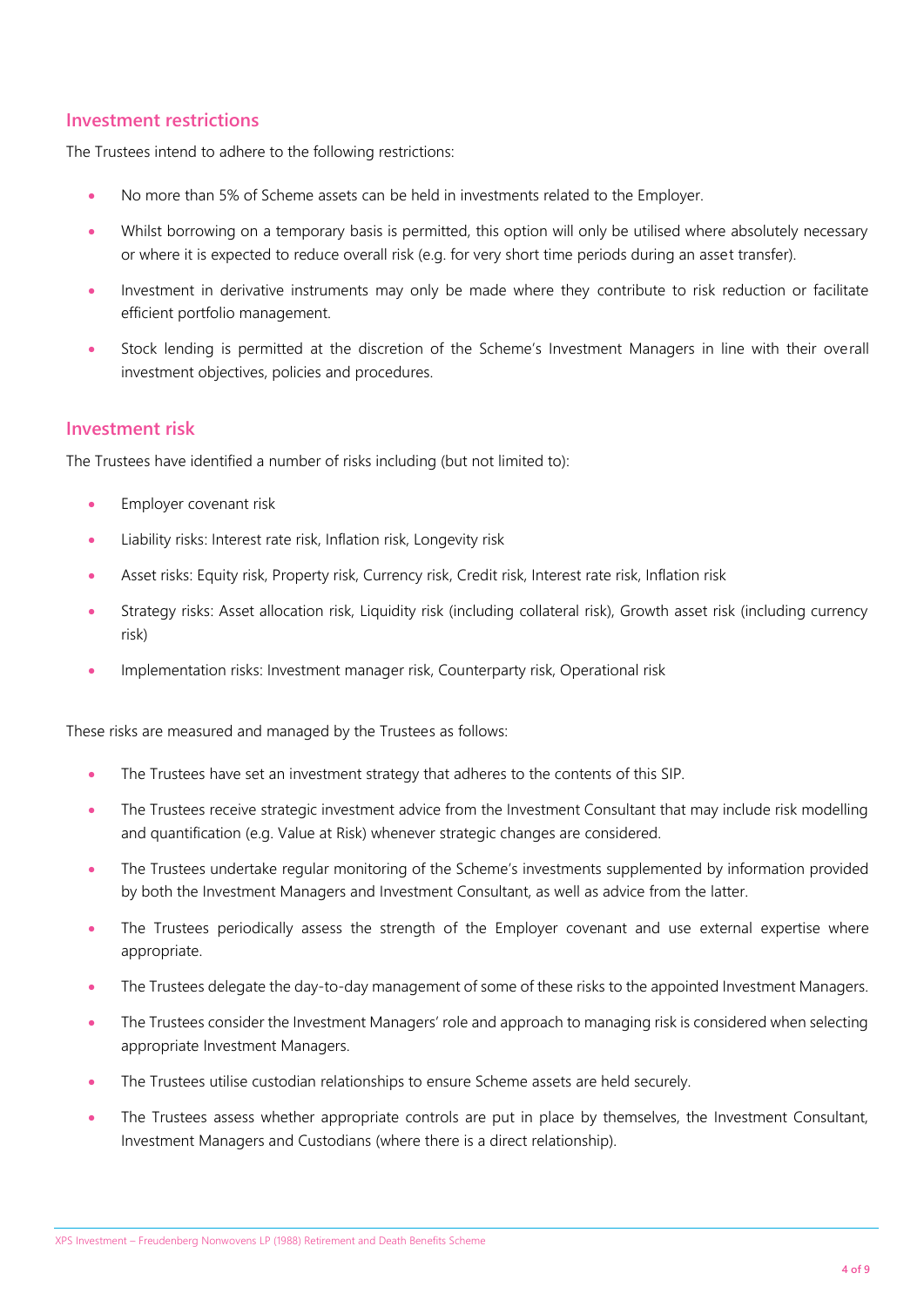#### **Investment restrictions**

The Trustees intend to adhere to the following restrictions:

- No more than 5% of Scheme assets can be held in investments related to the Employer.
- Whilst borrowing on a temporary basis is permitted, this option will only be utilised where absolutely necessary or where it is expected to reduce overall risk (e.g. for very short time periods during an asset transfer).
- Investment in derivative instruments may only be made where they contribute to risk reduction or facilitate efficient portfolio management.
- Stock lending is permitted at the discretion of the Scheme's Investment Managers in line with their overall investment objectives, policies and procedures.

#### **Investment risk**

The Trustees have identified a number of risks including (but not limited to):

- **Employer covenant risk**
- Liability risks: Interest rate risk, Inflation risk, Longevity risk
- Asset risks: Equity risk, Property risk, Currency risk, Credit risk, Interest rate risk, Inflation risk
- Strategy risks: Asset allocation risk, Liquidity risk (including collateral risk), Growth asset risk (including currency risk)
- Implementation risks: Investment manager risk, Counterparty risk, Operational risk

These risks are measured and managed by the Trustees as follows:

- The Trustees have set an investment strategy that adheres to the contents of this SIP.
- The Trustees receive strategic investment advice from the Investment Consultant that may include risk modelling and quantification (e.g. Value at Risk) whenever strategic changes are considered.
- The Trustees undertake regular monitoring of the Scheme's investments supplemented by information provided by both the Investment Managers and Investment Consultant, as well as advice from the latter.
- The Trustees periodically assess the strength of the Employer covenant and use external expertise where appropriate.
- The Trustees delegate the day-to-day management of some of these risks to the appointed Investment Managers.
- The Trustees consider the Investment Managers' role and approach to managing risk is considered when selecting appropriate Investment Managers.
- The Trustees utilise custodian relationships to ensure Scheme assets are held securely.
- The Trustees assess whether appropriate controls are put in place by themselves, the Investment Consultant, Investment Managers and Custodians (where there is a direct relationship).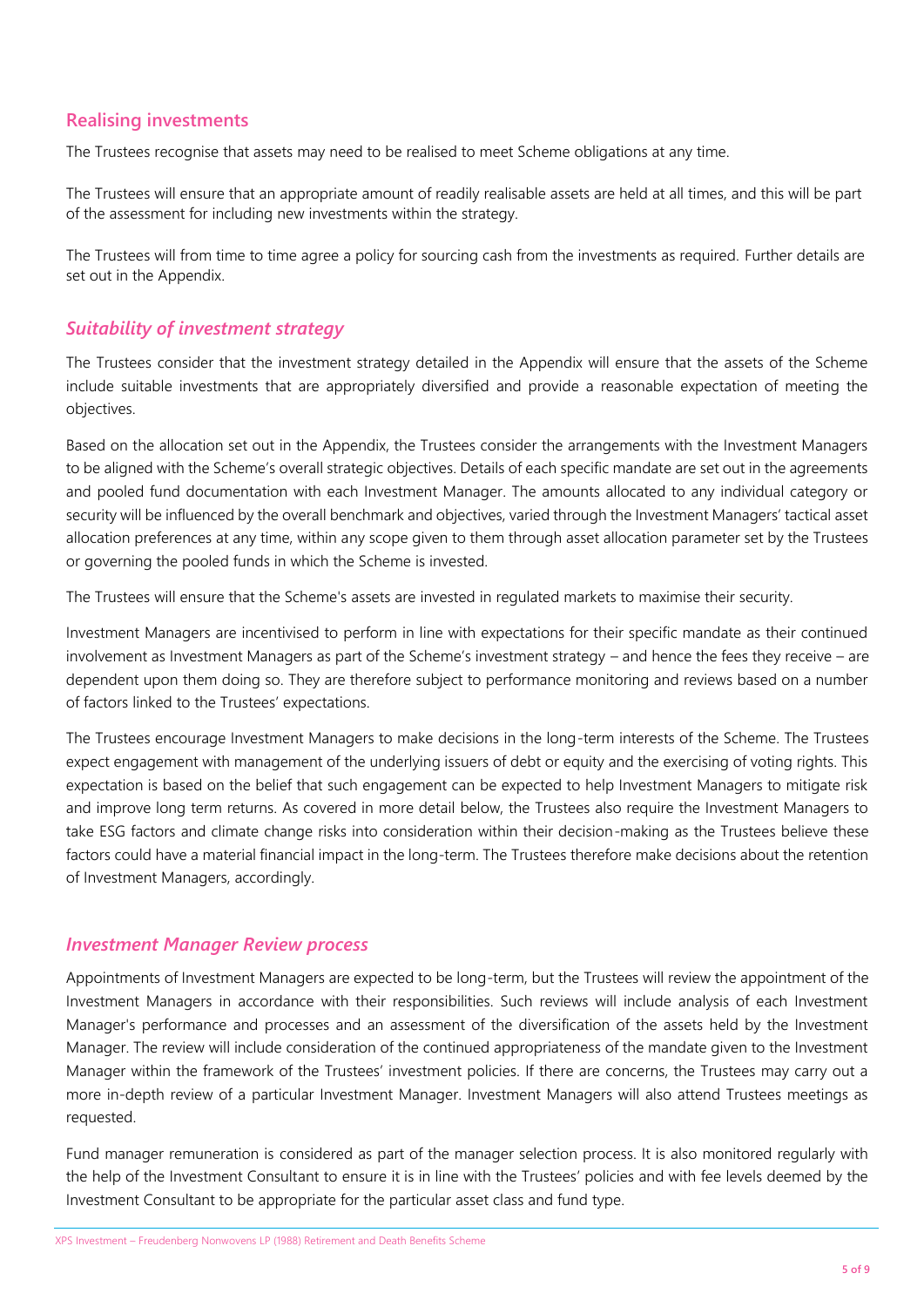### **Realising investments**

The Trustees recognise that assets may need to be realised to meet Scheme obligations at any time.

The Trustees will ensure that an appropriate amount of readily realisable assets are held at all times, and this will be part of the assessment for including new investments within the strategy.

The Trustees will from time to time agree a policy for sourcing cash from the investments as required. Further details are set out in the Appendix.

#### *Suitability of investment strategy*

The Trustees consider that the investment strategy detailed in the Appendix will ensure that the assets of the Scheme include suitable investments that are appropriately diversified and provide a reasonable expectation of meeting the objectives.

Based on the allocation set out in the Appendix, the Trustees consider the arrangements with the Investment Managers to be aligned with the Scheme's overall strategic objectives. Details of each specific mandate are set out in the agreements and pooled fund documentation with each Investment Manager. The amounts allocated to any individual category or security will be influenced by the overall benchmark and objectives, varied through the Investment Managers' tactical asset allocation preferences at any time, within any scope given to them through asset allocation parameter set by the Trustees or governing the pooled funds in which the Scheme is invested.

The Trustees will ensure that the Scheme's assets are invested in regulated markets to maximise their security.

Investment Managers are incentivised to perform in line with expectations for their specific mandate as their continued involvement as Investment Managers as part of the Scheme's investment strategy – and hence the fees they receive – are dependent upon them doing so. They are therefore subject to performance monitoring and reviews based on a number of factors linked to the Trustees' expectations.

The Trustees encourage Investment Managers to make decisions in the long-term interests of the Scheme. The Trustees expect engagement with management of the underlying issuers of debt or equity and the exercising of voting rights. This expectation is based on the belief that such engagement can be expected to help Investment Managers to mitigate risk and improve long term returns. As covered in more detail below, the Trustees also require the Investment Managers to take ESG factors and climate change risks into consideration within their decision-making as the Trustees believe these factors could have a material financial impact in the long-term. The Trustees therefore make decisions about the retention of Investment Managers, accordingly.

#### *Investment Manager Review process*

Appointments of Investment Managers are expected to be long-term, but the Trustees will review the appointment of the Investment Managers in accordance with their responsibilities. Such reviews will include analysis of each Investment Manager's performance and processes and an assessment of the diversification of the assets held by the Investment Manager. The review will include consideration of the continued appropriateness of the mandate given to the Investment Manager within the framework of the Trustees' investment policies. If there are concerns, the Trustees may carry out a more in-depth review of a particular Investment Manager. Investment Managers will also attend Trustees meetings as requested.

Fund manager remuneration is considered as part of the manager selection process. It is also monitored regularly with the help of the Investment Consultant to ensure it is in line with the Trustees' policies and with fee levels deemed by the Investment Consultant to be appropriate for the particular asset class and fund type.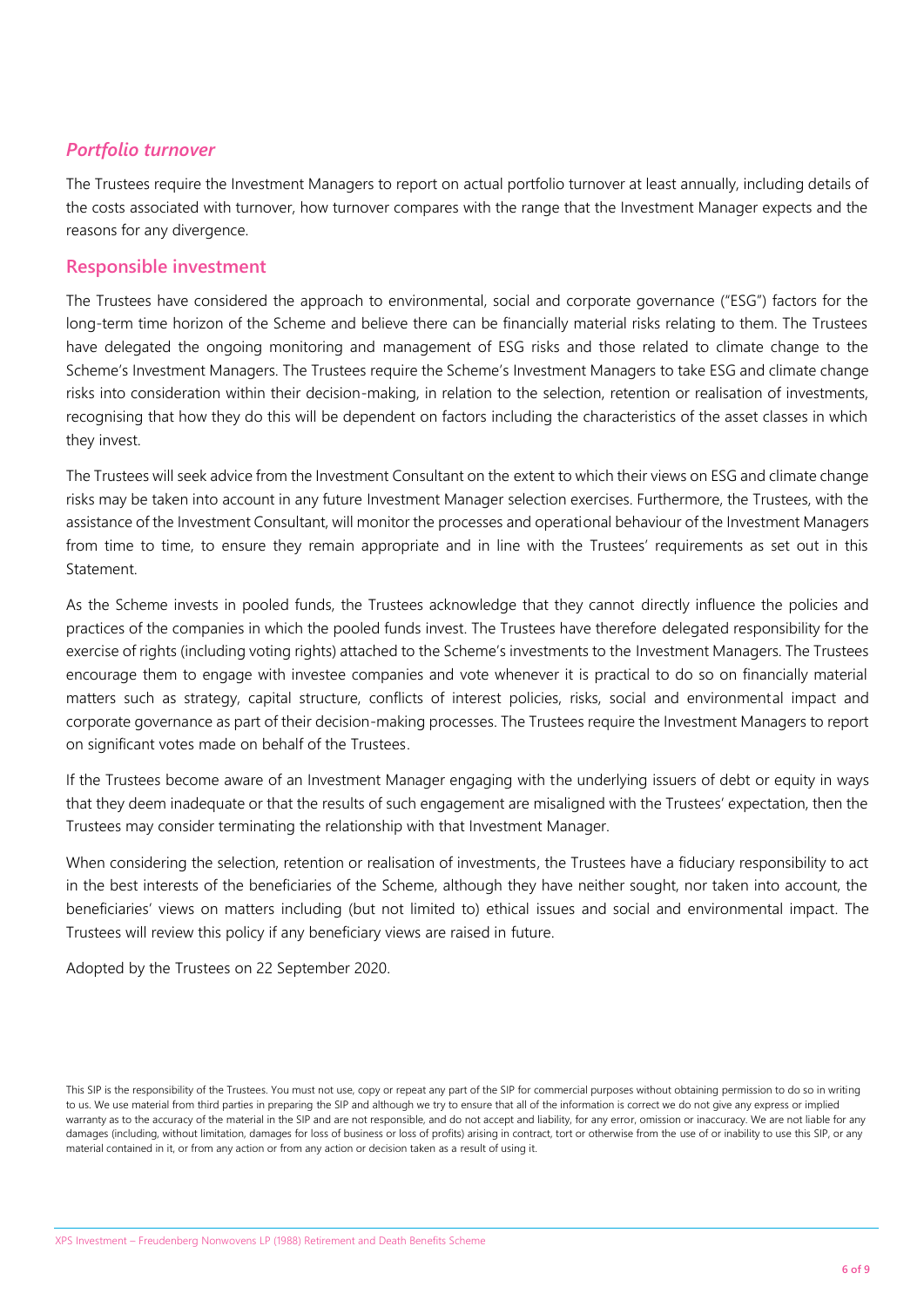#### *Portfolio turnover*

The Trustees require the Investment Managers to report on actual portfolio turnover at least annually, including details of the costs associated with turnover, how turnover compares with the range that the Investment Manager expects and the reasons for any divergence.

#### **Responsible investment**

The Trustees have considered the approach to environmental, social and corporate governance ("ESG") factors for the long-term time horizon of the Scheme and believe there can be financially material risks relating to them. The Trustees have delegated the ongoing monitoring and management of ESG risks and those related to climate change to the Scheme's Investment Managers. The Trustees require the Scheme's Investment Managers to take ESG and climate change risks into consideration within their decision-making, in relation to the selection, retention or realisation of investments, recognising that how they do this will be dependent on factors including the characteristics of the asset classes in which they invest.

The Trustees will seek advice from the Investment Consultant on the extent to which their views on ESG and climate change risks may be taken into account in any future Investment Manager selection exercises. Furthermore, the Trustees, with the assistance of the Investment Consultant, will monitor the processes and operational behaviour of the Investment Managers from time to time, to ensure they remain appropriate and in line with the Trustees' requirements as set out in this Statement.

As the Scheme invests in pooled funds, the Trustees acknowledge that they cannot directly influence the policies and practices of the companies in which the pooled funds invest. The Trustees have therefore delegated responsibility for the exercise of rights (including voting rights) attached to the Scheme's investments to the Investment Managers. The Trustees encourage them to engage with investee companies and vote whenever it is practical to do so on financially material matters such as strategy, capital structure, conflicts of interest policies, risks, social and environmental impact and corporate governance as part of their decision-making processes. The Trustees require the Investment Managers to report on significant votes made on behalf of the Trustees.

If the Trustees become aware of an Investment Manager engaging with the underlying issuers of debt or equity in ways that they deem inadequate or that the results of such engagement are misaligned with the Trustees' expectation, then the Trustees may consider terminating the relationship with that Investment Manager.

When considering the selection, retention or realisation of investments, the Trustees have a fiduciary responsibility to act in the best interests of the beneficiaries of the Scheme, although they have neither sought, nor taken into account, the beneficiaries' views on matters including (but not limited to) ethical issues and social and environmental impact. The Trustees will review this policy if any beneficiary views are raised in future.

Adopted by the Trustees on 22 September 2020.

This SIP is the responsibility of the Trustees. You must not use, copy or repeat any part of the SIP for commercial purposes without obtaining permission to do so in writing to us. We use material from third parties in preparing the SIP and although we try to ensure that all of the information is correct we do not give any express or implied warranty as to the accuracy of the material in the SIP and are not responsible, and do not accept and liability, for any error, omission or inaccuracy. We are not liable for any damages (including, without limitation, damages for loss of business or loss of profits) arising in contract, tort or otherwise from the use of or inability to use this SIP, or any material contained in it, or from any action or from any action or decision taken as a result of using it.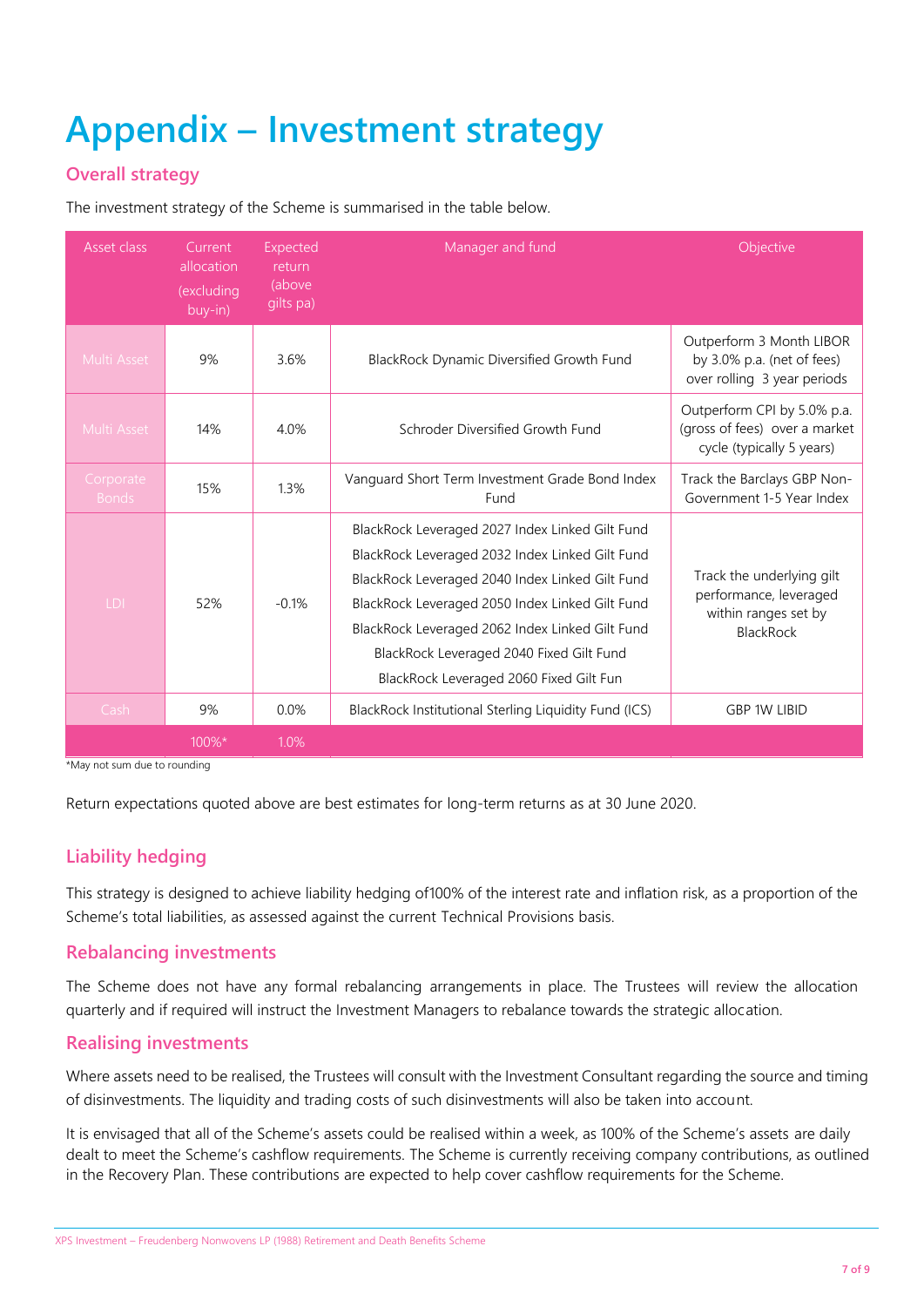# **Appendix – Investment strategy**

# **Overall strategy**

The investment strategy of the Scheme is summarised in the table below.

| Asset class               | Current<br>allocation<br>(excluding<br>buy-in) | Expected<br>return<br>(above<br>gilts pa) | Manager and fund                                                                                                                                                                                                                                                                                                                                   | Objective                                                                                       |
|---------------------------|------------------------------------------------|-------------------------------------------|----------------------------------------------------------------------------------------------------------------------------------------------------------------------------------------------------------------------------------------------------------------------------------------------------------------------------------------------------|-------------------------------------------------------------------------------------------------|
| Multi Asset               | 9%                                             | 3.6%                                      | BlackRock Dynamic Diversified Growth Fund                                                                                                                                                                                                                                                                                                          | Outperform 3 Month LIBOR<br>by 3.0% p.a. (net of fees)<br>over rolling 3 year periods           |
| Multi Asset               | 14%                                            | 4.0%                                      | Schroder Diversified Growth Fund                                                                                                                                                                                                                                                                                                                   | Outperform CPI by 5.0% p.a.<br>(gross of fees) over a market<br>cycle (typically 5 years)       |
| Corporate<br><b>Bonds</b> | 15%                                            | 1.3%                                      | Vanguard Short Term Investment Grade Bond Index<br>Fund                                                                                                                                                                                                                                                                                            | Track the Barclays GBP Non-<br>Government 1-5 Year Index                                        |
| LDI                       | 52%                                            | $-0.1%$                                   | BlackRock Leveraged 2027 Index Linked Gilt Fund<br>BlackRock Leveraged 2032 Index Linked Gilt Fund<br>BlackRock Leveraged 2040 Index Linked Gilt Fund<br>BlackRock Leveraged 2050 Index Linked Gilt Fund<br>BlackRock Leveraged 2062 Index Linked Gilt Fund<br>BlackRock Leveraged 2040 Fixed Gilt Fund<br>BlackRock Leveraged 2060 Fixed Gilt Fun | Track the underlying gilt<br>performance, leveraged<br>within ranges set by<br><b>BlackRock</b> |
| Cash                      | 9%                                             | 0.0%                                      | BlackRock Institutional Sterling Liquidity Fund (ICS)                                                                                                                                                                                                                                                                                              | <b>GBP 1W LIBID</b>                                                                             |
|                           | 100%*                                          | 1.0%                                      |                                                                                                                                                                                                                                                                                                                                                    |                                                                                                 |

\*May not sum due to rounding

Return expectations quoted above are best estimates for long-term returns as at 30 June 2020.

### **Liability hedging**

This strategy is designed to achieve liability hedging of100% of the interest rate and inflation risk, as a proportion of the Scheme's total liabilities, as assessed against the current Technical Provisions basis.

#### **Rebalancing investments**

The Scheme does not have any formal rebalancing arrangements in place. The Trustees will review the allocation quarterly and if required will instruct the Investment Managers to rebalance towards the strategic allocation.

#### **Realising investments**

Where assets need to be realised, the Trustees will consult with the Investment Consultant regarding the source and timing of disinvestments. The liquidity and trading costs of such disinvestments will also be taken into account.

It is envisaged that all of the Scheme's assets could be realised within a week, as 100% of the Scheme's assets are daily dealt to meet the Scheme's cashflow requirements. The Scheme is currently receiving company contributions, as outlined in the Recovery Plan. These contributions are expected to help cover cashflow requirements for the Scheme.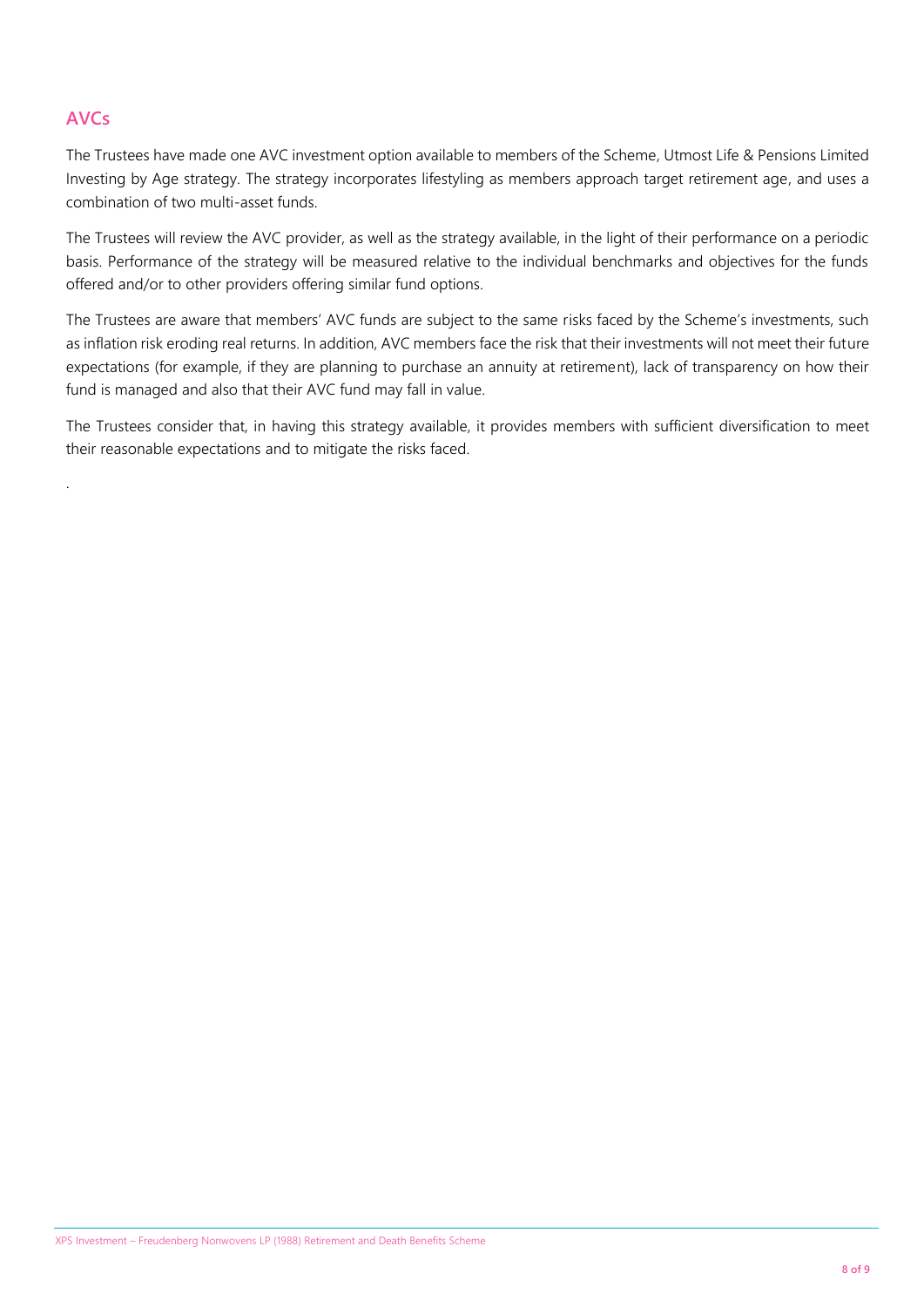## **AVCs**

.

The Trustees have made one AVC investment option available to members of the Scheme, Utmost Life & Pensions Limited Investing by Age strategy. The strategy incorporates lifestyling as members approach target retirement age, and uses a combination of two multi-asset funds.

The Trustees will review the AVC provider, as well as the strategy available, in the light of their performance on a periodic basis. Performance of the strategy will be measured relative to the individual benchmarks and objectives for the funds offered and/or to other providers offering similar fund options.

The Trustees are aware that members' AVC funds are subject to the same risks faced by the Scheme's investments, such as inflation risk eroding real returns. In addition, AVC members face the risk that their investments will not meet their future expectations (for example, if they are planning to purchase an annuity at retirement), lack of transparency on how their fund is managed and also that their AVC fund may fall in value.

The Trustees consider that, in having this strategy available, it provides members with sufficient diversification to meet their reasonable expectations and to mitigate the risks faced.